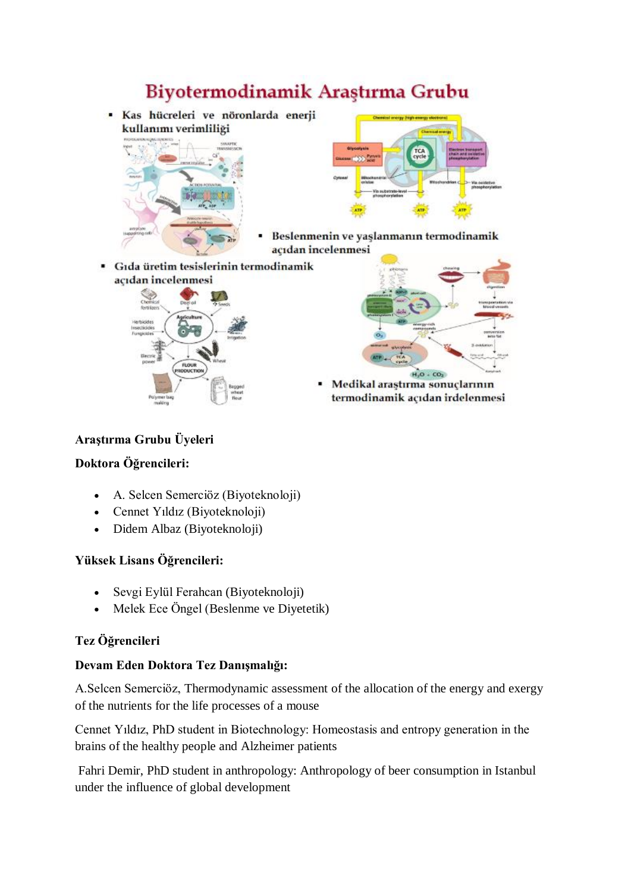# Biyotermodinamik Araştırma Grubu

· Kas hücreleri ve nöronlarda enerji kullanımı verimliliği





- Beslenmenin ve yaşlanmanın termodinamik acıdan incelenmesi
- Gıda üretim tesislerinin termodinamik acıdan incelenmesi





Medikal araştırma sonuçlarının termodinamik açıdan irdelenmesi

## **Araştırma Grubu Üyeleri**

## **Doktora Öğrencileri:**

- A. Selcen Semerciöz (Biyoteknoloji)
- Cennet Yıldız (Biyoteknoloji)
- Didem Albaz (Biyoteknoloji)

## **Yüksek Lisans Öğrencileri:**

- Sevgi Eylül Ferahcan (Biyoteknoloji)
- Melek Ece Öngel (Beslenme ve Diyetetik)

# **Tez Öğrencileri**

## **Devam Eden Doktora Tez Danışmalığı:**

A.Selcen Semerciöz, Thermodynamic assessment of the allocation of the energy and exergy of the nutrients for the life processes of a mouse

Cennet Yıldız, PhD student in Biotechnology: Homeostasis and entropy generation in the brains of the healthy people and Alzheimer patients

Fahri Demir, PhD student in anthropology: Anthropology of beer consumption in Istanbul under the influence of global development